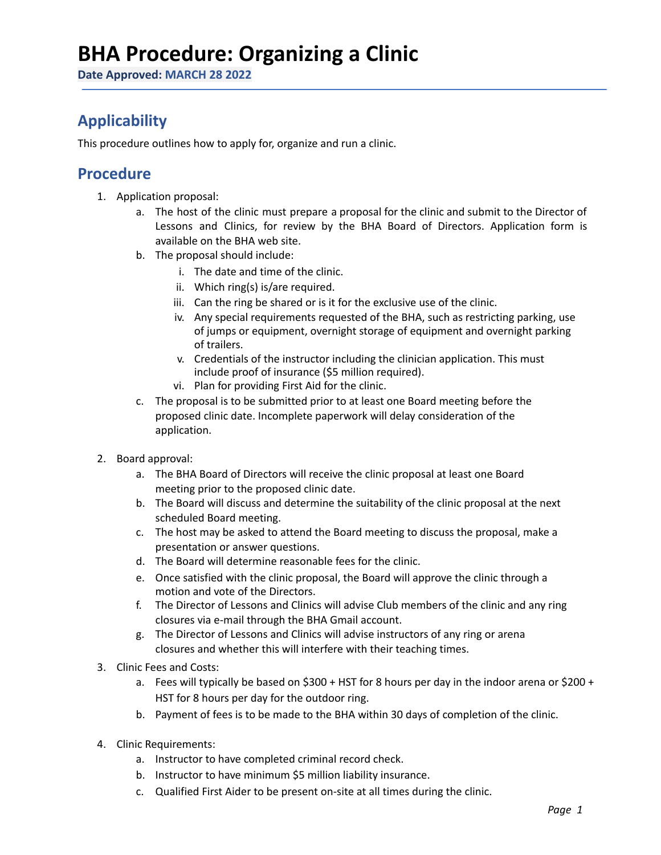## **BHA Procedure: Organizing a Clinic**

**Date Approved: MARCH 28 2022**

### **Applicability**

This procedure outlines how to apply for, organize and run a clinic.

#### **Procedure**

- 1. Application proposal:
	- a. The host of the clinic must prepare a proposal for the clinic and submit to the Director of Lessons and Clinics, for review by the BHA Board of Directors. Application form is available on the BHA web site.
	- b. The proposal should include:
		- i. The date and time of the clinic.
		- ii. Which ring(s) is/are required.
		- iii. Can the ring be shared or is it for the exclusive use of the clinic.
		- iv. Any special requirements requested of the BHA, such as restricting parking, use of jumps or equipment, overnight storage of equipment and overnight parking of trailers.
		- v. Credentials of the instructor including the clinician application. This must include proof of insurance (\$5 million required).
		- vi. Plan for providing First Aid for the clinic.
	- c. The proposal is to be submitted prior to at least one Board meeting before the proposed clinic date. Incomplete paperwork will delay consideration of the application.
- 2. Board approval:
	- a. The BHA Board of Directors will receive the clinic proposal at least one Board meeting prior to the proposed clinic date.
	- b. The Board will discuss and determine the suitability of the clinic proposal at the next scheduled Board meeting.
	- c. The host may be asked to attend the Board meeting to discuss the proposal, make a presentation or answer questions.
	- d. The Board will determine reasonable fees for the clinic.
	- e. Once satisfied with the clinic proposal, the Board will approve the clinic through a motion and vote of the Directors.
	- f. The Director of Lessons and Clinics will advise Club members of the clinic and any ring closures via e-mail through the BHA Gmail account.
	- g. The Director of Lessons and Clinics will advise instructors of any ring or arena closures and whether this will interfere with their teaching times.
- 3. Clinic Fees and Costs:
	- a. Fees will typically be based on \$300 + HST for 8 hours per day in the indoor arena or \$200 + HST for 8 hours per day for the outdoor ring.
	- b. Payment of fees is to be made to the BHA within 30 days of completion of the clinic.
- 4. Clinic Requirements:
	- a. Instructor to have completed criminal record check.
	- b. Instructor to have minimum \$5 million liability insurance.
	- c. Qualified First Aider to be present on-site at all times during the clinic.